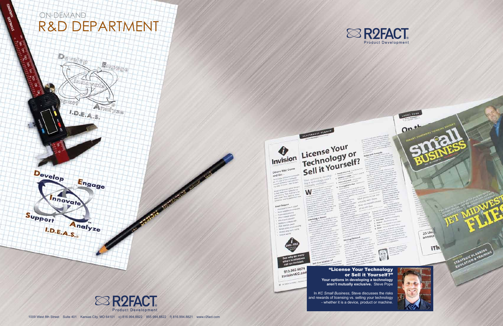#### "License Your Technology or Sell it Yourself?"

**Your options in developing a technology aren't mutually exclusive.** Steve Pope

In *KC Small Business*, Steve discusses the risks and rewards of licensing vs. selling your technology - whether it is a device, product or machine.





**GSS WARDERS** 











913.962.6674 913.962.001<br>InvisionKC.com



**TRESTRONIC PLANET** 

uming a Pab

sell it or License is?

LEGAL EDGE

 $O^{n^{+1}}$ 



 $25 \text{Um}$ annour

iTh